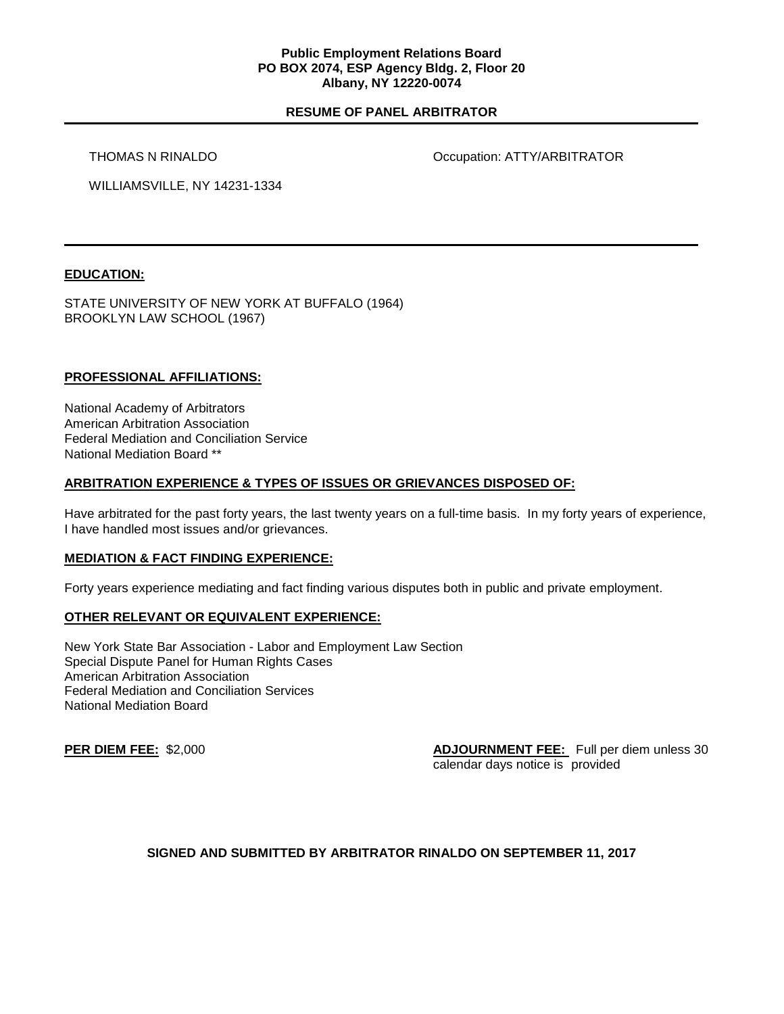### **Public Employment Relations Board PO BOX 2074, ESP Agency Bldg. 2, Floor 20 Albany, NY 12220-0074**

# **RESUME OF PANEL ARBITRATOR**

THOMAS N RINALDO **COMPUTER SECUPATION** Occupation: ATTY/ARBITRATOR

WILLIAMSVILLE, NY 14231-1334

# **EDUCATION:**

STATE UNIVERSITY OF NEW YORK AT BUFFALO (1964) BROOKLYN LAW SCHOOL (1967)

#### **PROFESSIONAL AFFILIATIONS:**

National Academy of Arbitrators American Arbitration Association Federal Mediation and Conciliation Service National Mediation Board \*\*

#### **ARBITRATION EXPERIENCE & TYPES OF ISSUES OR GRIEVANCES DISPOSED OF:**

Have arbitrated for the past forty years, the last twenty years on a full-time basis. In my forty years of experience, I have handled most issues and/or grievances.

#### **MEDIATION & FACT FINDING EXPERIENCE:**

Forty years experience mediating and fact finding various disputes both in public and private employment.

#### **OTHER RELEVANT OR EQUIVALENT EXPERIENCE:**

New York State Bar Association - Labor and Employment Law Section Special Dispute Panel for Human Rights Cases American Arbitration Association Federal Mediation and Conciliation Services National Mediation Board

**PER DIEM FEE:** \$2,000 **ADJOURNMENT FEE:** Full per diem unless 30 calendar days notice is provided

# **SIGNED AND SUBMITTED BY ARBITRATOR RINALDO ON SEPTEMBER 11, 2017**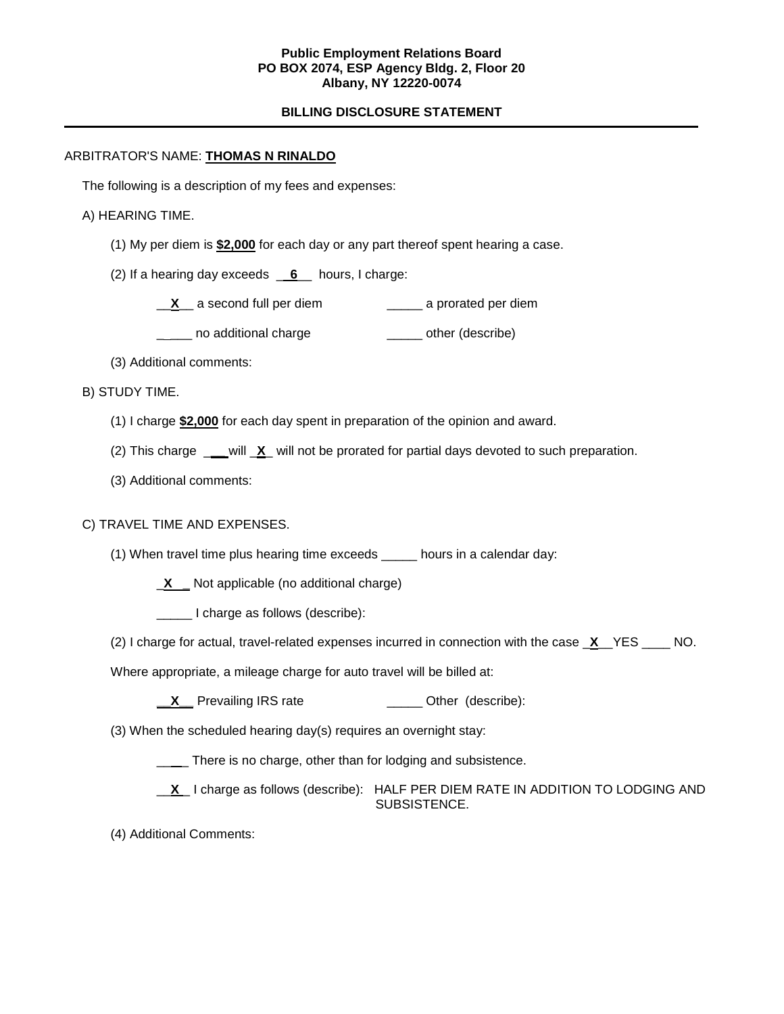### **Public Employment Relations Board PO BOX 2074, ESP Agency Bldg. 2, Floor 20 Albany, NY 12220-0074**

# **BILLING DISCLOSURE STATEMENT**

# ARBITRATOR'S NAME: **THOMAS N RINALDO**

The following is a description of my fees and expenses:

#### A) HEARING TIME.

(1) My per diem is **\$2,000** for each day or any part thereof spent hearing a case.

(2) If a hearing day exceeds \_ **6**\_\_ hours, I charge:

\_\_**X**\_\_ a second full per diem \_\_\_\_\_ a prorated per diem

\_\_\_\_ no additional charge \_\_\_\_\_\_\_ other (describe)

(3) Additional comments:

B) STUDY TIME.

- (1) I charge **\$2,000** for each day spent in preparation of the opinion and award.
- (2) This charge \_**\_\_** will \_**X**\_ will not be prorated for partial days devoted to such preparation.
- (3) Additional comments:

#### C) TRAVEL TIME AND EXPENSES.

(1) When travel time plus hearing time exceeds \_\_\_\_\_ hours in a calendar day:

\_**X \_** Not applicable (no additional charge)

\_\_\_\_\_ I charge as follows (describe):

(2) I charge for actual, travel-related expenses incurred in connection with the case \_**X**\_\_YES \_\_\_\_ NO.

Where appropriate, a mileage charge for auto travel will be billed at:

**\_X\_** Prevailing IRS rate \_\_\_\_\_\_\_\_\_\_\_\_\_\_ Other (describe):

(3) When the scheduled hearing day(s) requires an overnight stay:

\_\_ \_ There is no charge, other than for lodging and subsistence.

**X** I charge as follows (describe): HALF PER DIEM RATE IN ADDITION TO LODGING AND SUBSISTENCE.

(4) Additional Comments: